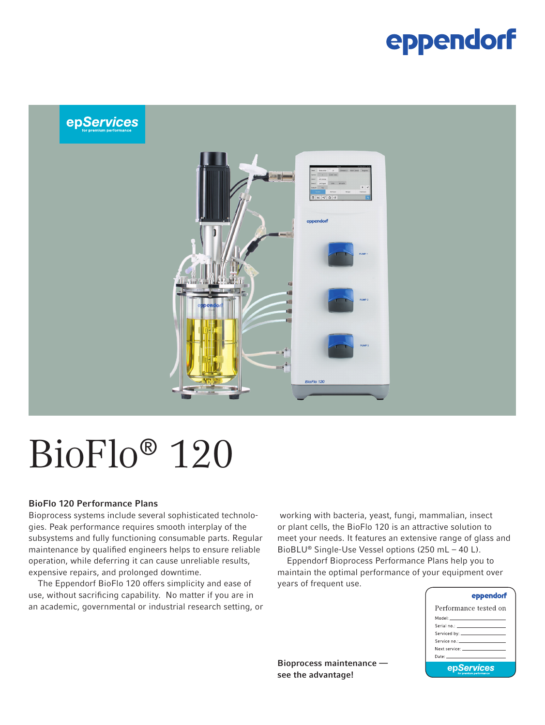### eppendorf



# BioFlo® 120

#### BioFlo 120 Performance Plans

Bioprocess systems include several sophisticated technologies. Peak performance requires smooth interplay of the subsystems and fully functioning consumable parts. Regular maintenance by qualified engineers helps to ensure reliable operation, while deferring it can cause unreliable results, expensive repairs, and prolonged downtime.

The Eppendorf BioFlo 120 offers simplicity and ease of use, without sacrificing capability. No matter if you are in an academic, governmental or industrial research setting, or

 working with bacteria, yeast, fungi, mammalian, insect or plant cells, the BioFlo 120 is an attractive solution to meet your needs. It features an extensive range of glass and BioBLU® Single-Use Vessel options (250 mL – 40 L).

Eppendorf Bioprocess Performance Plans help you to maintain the optimal performance of your equipment over years of frequent use.

| eppendorf                                                                                                                                                                                                                     |
|-------------------------------------------------------------------------------------------------------------------------------------------------------------------------------------------------------------------------------|
| Performance tested on                                                                                                                                                                                                         |
| Model: _______________________                                                                                                                                                                                                |
|                                                                                                                                                                                                                               |
|                                                                                                                                                                                                                               |
| Service no.: All and the service of the service of the service                                                                                                                                                                |
| Next service: The contract of the contract of the contract of the contract of the contract of the contract of the contract of the contract of the contract of the contract of the contract of the contract of the contract of |
| Date: University of the University of the University of the University of the University of the University of                                                                                                                 |
| epServices                                                                                                                                                                                                                    |

Bioprocess maintenance see the advantage!